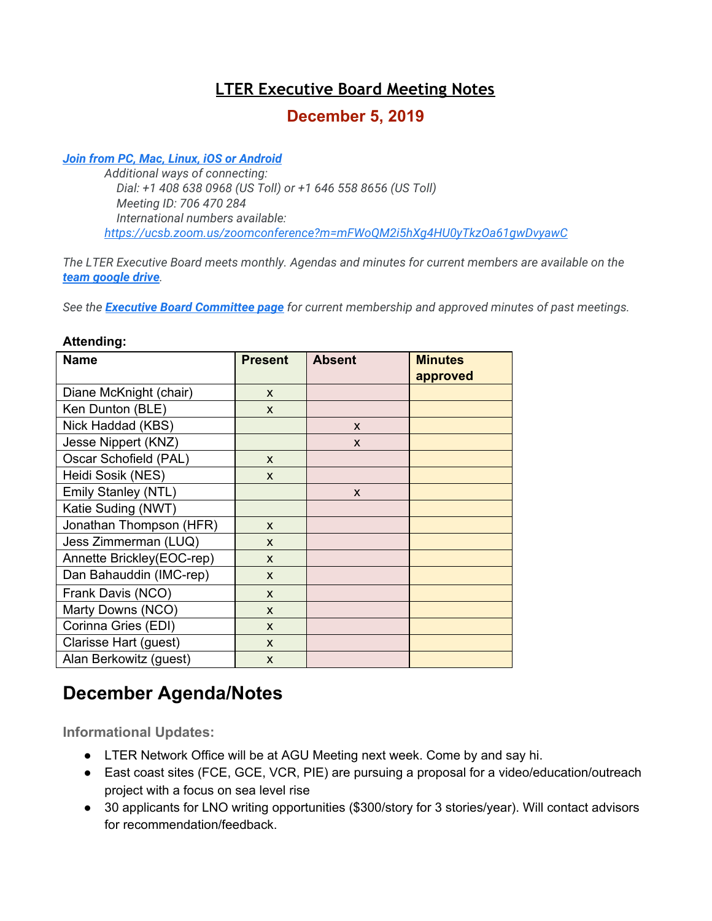# **LTER Executive Board Meeting Notes**

# **December 5, 2019**

#### *[Join from PC, Mac, Linux, iOS or Android](https://ucsb.zoom.us/j/706470284)*

*Additional ways of connecting: Dial: +1 408 638 0968 (US Toll) or +1 646 558 8656 (US Toll) Meeting ID: 706 470 284 International numbers available: <https://ucsb.zoom.us/zoomconference?m=mFWoQM2i5hXg4HU0yTkzOa61gwDvyawC>*

*The LTER Executive Board meets monthly. Agendas and minutes for current members are available on the [team google drive](https://drive.google.com/drive/folders/0AKaWwJjxt2VMUk9PVA).*

*See the [Executive Board Committee page](https://lternet.edu/committees/executive-board/) for current membership and approved minutes of past meetings.*

| <b>Name</b>               | <b>Present</b> | <b>Absent</b> | <b>Minutes</b> |
|---------------------------|----------------|---------------|----------------|
|                           |                |               | approved       |
| Diane McKnight (chair)    | $\mathsf{x}$   |               |                |
| Ken Dunton (BLE)          | $\mathsf{x}$   |               |                |
| Nick Haddad (KBS)         |                | X             |                |
| Jesse Nippert (KNZ)       |                | X             |                |
| Oscar Schofield (PAL)     | $\mathsf{x}$   |               |                |
| Heidi Sosik (NES)         | $\mathsf{x}$   |               |                |
| Emily Stanley (NTL)       |                | X             |                |
| Katie Suding (NWT)        |                |               |                |
| Jonathan Thompson (HFR)   | $\mathsf{x}$   |               |                |
| Jess Zimmerman (LUQ)      | X              |               |                |
| Annette Brickley(EOC-rep) | $\mathsf{x}$   |               |                |
| Dan Bahauddin (IMC-rep)   | $\mathsf{x}$   |               |                |
| Frank Davis (NCO)         | $\mathsf{x}$   |               |                |
| Marty Downs (NCO)         | $\mathsf{x}$   |               |                |
| Corinna Gries (EDI)       | $\mathsf{x}$   |               |                |
| Clarisse Hart (guest)     | $\mathsf{x}$   |               |                |
| Alan Berkowitz (guest)    | X              |               |                |

#### **Attending:**

# **December Agenda/Notes**

**Informational Updates:**

- LTER Network Office will be at AGU Meeting next week. Come by and say hi.
- East coast sites (FCE, GCE, VCR, PIE) are pursuing a proposal for a video/education/outreach project with a focus on sea level rise
- 30 applicants for LNO writing opportunities (\$300/story for 3 stories/year). Will contact advisors for recommendation/feedback.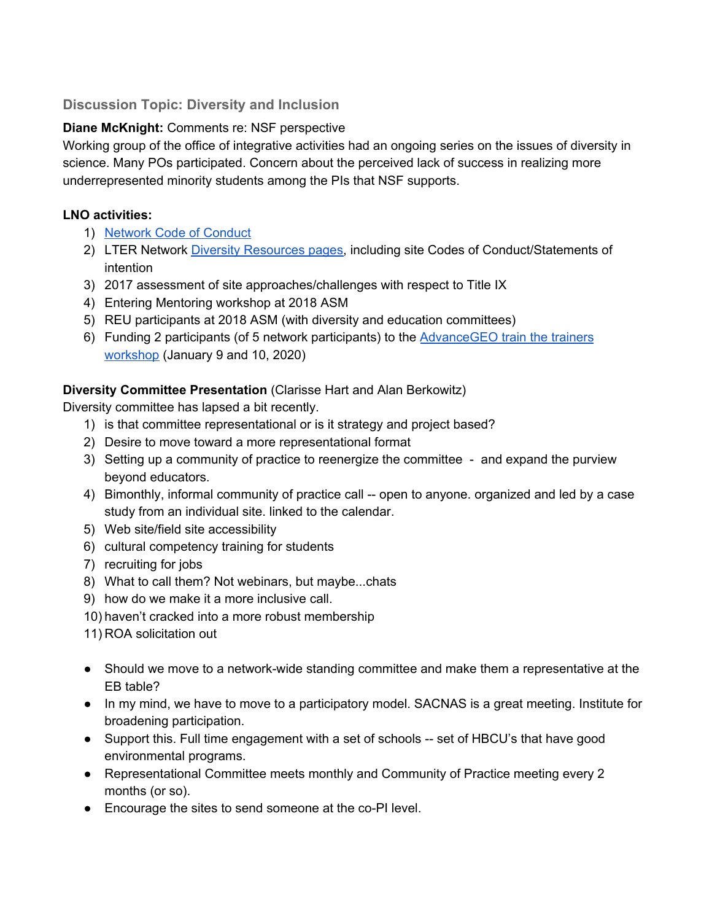### **Discussion Topic: Diversity and Inclusion**

# **Diane McKnight:** Comments re: NSF perspective

Working group of the office of integrative activities had an ongoing series on the issues of diversity in science. Many POs participated. Concern about the perceived lack of success in realizing more underrepresented minority students among the PIs that NSF supports.

## **LNO activities:**

- 1) Network Code of [Conduct](https://lternet.edu/lter-meetings-code-of-conduct/)
- 2) LTER Network Diversity [Resources](https://lternet.edu/network-organization/diversity-resources/) pages, including site Codes of Conduct/Statements of intention
- 3) 2017 assessment of site approaches/challenges with respect to Title IX
- 4) Entering Mentoring workshop at 2018 ASM
- 5) REU participants at 2018 ASM (with diversity and education committees)
- 6) Funding 2 participants (of 5 network participants) to the [AdvanceGEO](https://serc.carleton.edu/advancegeo/workshops/train_trainers_2020/index.html) train the trainers [workshop](https://serc.carleton.edu/advancegeo/workshops/train_trainers_2020/index.html) (January 9 and 10, 2020)

# **Diversity Committee Presentation** (Clarisse Hart and Alan Berkowitz)

Diversity committee has lapsed a bit recently.

- 1) is that committee representational or is it strategy and project based?
- 2) Desire to move toward a more representational format
- 3) Setting up a community of practice to reenergize the committee and expand the purview beyond educators.
- 4) Bimonthly, informal community of practice call -- open to anyone. organized and led by a case study from an individual site. linked to the calendar.
- 5) Web site/field site accessibility
- 6) cultural competency training for students
- 7) recruiting for jobs
- 8) What to call them? Not webinars, but maybe...chats
- 9) how do we make it a more inclusive call.
- 10) haven't cracked into a more robust membership
- 11) ROA solicitation out
- Should we move to a network-wide standing committee and make them a representative at the EB table?
- In my mind, we have to move to a participatory model. SACNAS is a great meeting. Institute for broadening participation.
- Support this. Full time engagement with a set of schools -- set of HBCU's that have good environmental programs.
- Representational Committee meets monthly and Community of Practice meeting every 2 months (or so).
- Encourage the sites to send someone at the co-PI level.